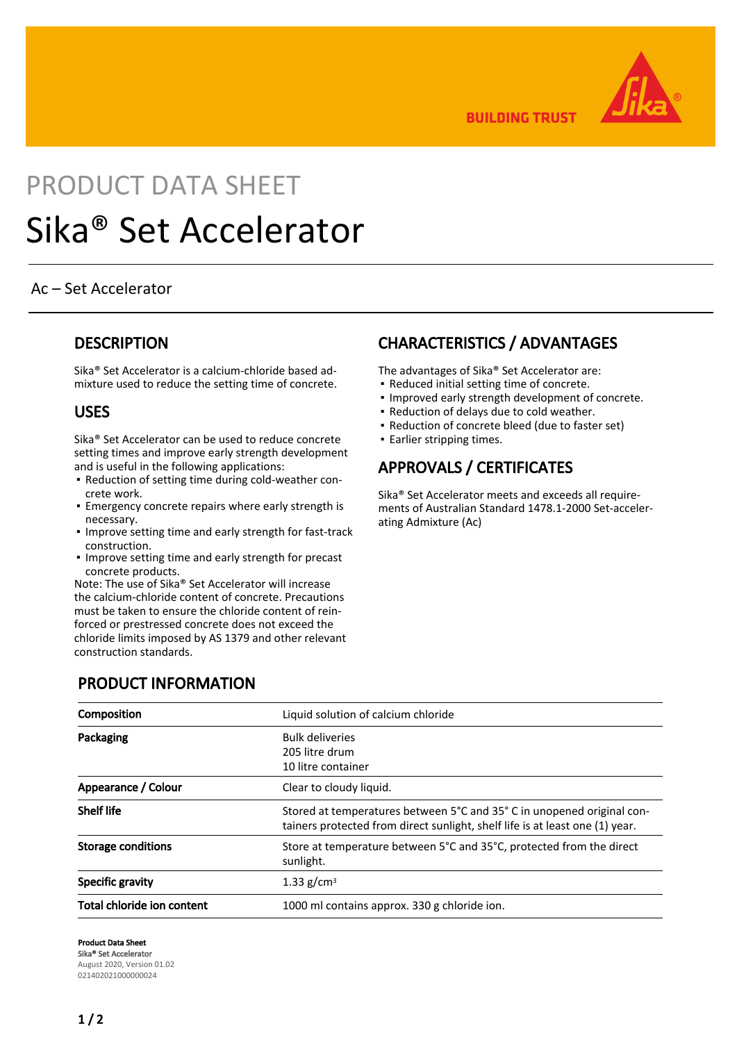

**BUILDING TRUST** 

# PRODUCT DATA SHEET Sika® Set Accelerator

#### Ac – Set Accelerator

#### **DESCRIPTION**

Sika® Set Accelerator is a calcium-chloride based admixture used to reduce the setting time of concrete.

#### USES

Sika® Set Accelerator can be used to reduce concrete setting times and improve early strength development and is useful in the following applications:

- Reduction of setting time during cold-weather con-▪ crete work.
- **Emergency concrete repairs where early strength is** necessary.
- **.** Improve setting time and early strength for fast-track construction.
- **.** Improve setting time and early strength for precast concrete products.

Note: The use of Sika® Set Accelerator will increase the calcium-chloride content of concrete. Precautions must be taken to ensure the chloride content of reinforced or prestressed concrete does not exceed the chloride limits imposed by AS 1379 and other relevant construction standards.

PRODUCT INFORMATION

### CHARACTERISTICS / ADVANTAGES

The advantages of Sika® Set Accelerator are:

- Reduced initial setting time of concrete.
- Improved early strength development of concrete.
- Reduction of delays due to cold weather.
- Reduction of concrete bleed (due to faster set)
- Earlier stripping times.

## APPROVALS / CERTIFICATES

Sika® Set Accelerator meets and exceeds all requirements of Australian Standard 1478.1-2000 Set-accelerating Admixture (Ac)

| Composition                | Liquid solution of calcium chloride                                                                                                                   |
|----------------------------|-------------------------------------------------------------------------------------------------------------------------------------------------------|
| Packaging                  | <b>Bulk deliveries</b><br>205 litre drum<br>10 litre container                                                                                        |
| Appearance / Colour        | Clear to cloudy liquid.                                                                                                                               |
| <b>Shelf life</b>          | Stored at temperatures between 5°C and 35°C in unopened original con-<br>tainers protected from direct sunlight, shelf life is at least one (1) year. |
| Storage conditions         | Store at temperature between 5°C and 35°C, protected from the direct<br>sunlight.                                                                     |
| Specific gravity           | 1.33 g/cm <sup>3</sup>                                                                                                                                |
| Total chloride ion content | 1000 ml contains approx. 330 g chloride ion.                                                                                                          |

Product Data Sheet Sika® Set Accelerator August 2020, Version 01.02 021402021000000024